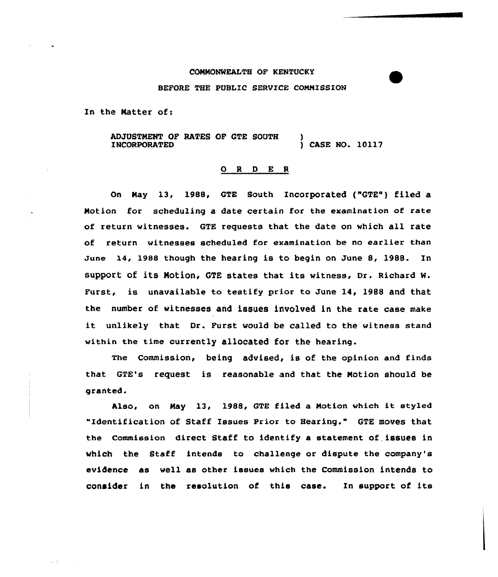## CONMONWEALTH OF KENTUCKY

## BEFORE THE PUBLIC SERVICE COMNISSION

In the Natter of:

ADJQSTNENT OF RATES OF GTE SOUTH INCORPORATED ) ) CASE NO. 10117

## 0 <sup>R</sup> <sup>D</sup> E <sup>R</sup>

On Nay 13, 1988, GTE South Incorporated ("GTE") filed a Motion for scheduling a date certain for the examination of rate of return witnesses. GTE requests that the date on which all rate of return witnesses scheduled for examination be no earlier than June 14, 1988 though the hearing is to begin on June 8, 1988. In support of its Motion, GTE states that its witness, Dr. Richard W. Furst, is unavailable to testify prior to June 14, 1988 and that the number of witnesses and issues involved in the rate case make it unlikely that Dr. Furst would be called to the witness stand within the time currently allocated for the hearing.

The Commission, being advised, is of the opinion and finds that GTE's request is reasonable and that the Notion should be granted.

Also, on Nay 13, 198&, GTE filed <sup>a</sup> Notion which it styled "Identification of Staff Issues Prior to Hearing." GTE moves that the Commission direct Staff to identify a statement of, issues in which the Staff intends to challenge or dispute the company's evidence as well as other issues which the Commission intends to consider in the resolution of this case. In support of its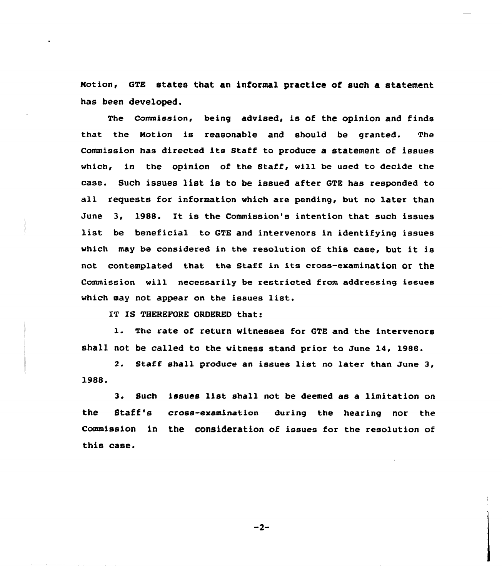Notion, GTE states that an informal practice of such a statement has been developed.

The Commission, being advised, is of the opinion and finds that the Notion is reasonable and should be granted. The commission has directed its staff to produce a statement of issues which, in the opinion of the Staff, w111 be used to decide the case. Such issues list is to be issued after GTE has responded to all requests for information which are pending, but no later than June 3, 1988. It is the Commission's intention that such issues list be beneficial to GTE and intervenors in identifying issues which may be considered in the resolution of this case, but it is not contemplated that the Staff in its cross-examination or the Commission will necessarily be restricted from addressing issues which may not appear on the issues list.

IT IS THEREFORE ORDERED that:

1. The rate of return witnesses for QTE and the intervenors shall not be called to the witness stand prior to June 14, 1988.

2. Staff shall produce an issues list no later than June 3, 1988.

3. Such issues list shall not be deemed as a limitation on the Staff's cross-examination during the hearing nor the CommiseiOn in the COnSideration of issues for the resolution of this case.

 $-2-$